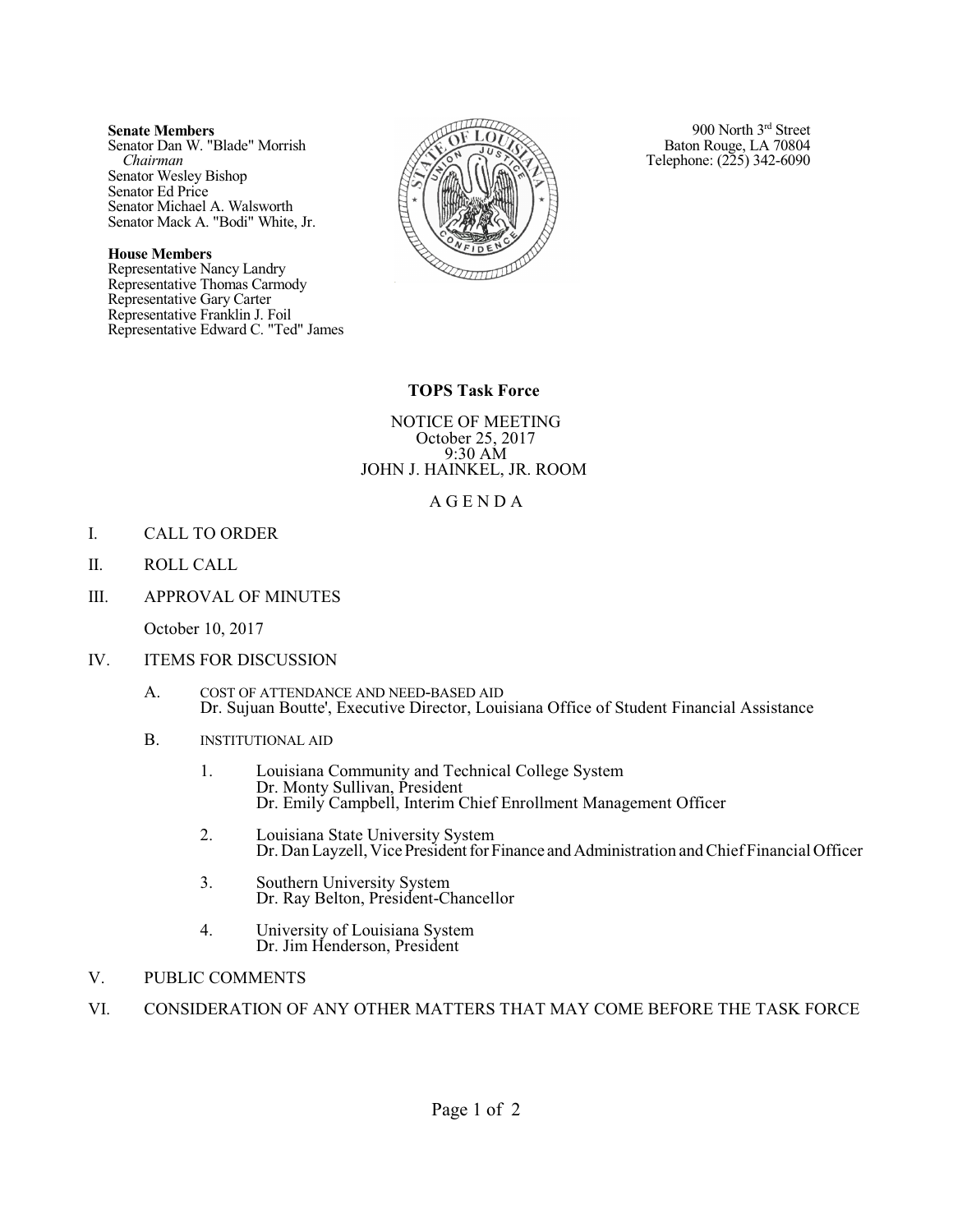#### **Senate Members**

Senator Dan W. "Blade" Morrish *Chairman* Senator Wesley Bishop Senator Ed Price Senator Michael A. Walsworth Senator Mack A. "Bodi" White, Jr.

#### **House Members**

Representative Nancy Landry Representative Thomas Carmody Representative Gary Carter Representative Franklin J. Foil Representative Edward C. "Ted" James



900 North 3<sup>rd</sup> Street Baton Rouge, LA 70804 Telephone: (225) 342-6090

# **TOPS Task Force**

NOTICE OF MEETING October 25, 2017 9:30 AM JOHN J. HAINKEL, JR. ROOM

## A G E N D A

- I. CALL TO ORDER
- II. ROLL CALL
- III. APPROVAL OF MINUTES

October 10, 2017

- IV. ITEMS FOR DISCUSSION
	- A. COST OF ATTENDANCE AND NEED-BASED AID Dr. Sujuan Boutte', Executive Director, Louisiana Office of Student Financial Assistance
	- B. INSTITUTIONAL AID
		- 1. Louisiana Community and Technical College System Dr. Monty Sullivan, President Dr. Emily Campbell, Interim Chief Enrollment Management Officer
		- 2. Louisiana State University System Dr. Dan Layzell, Vice President for Finance and Administration and Chief Financial Officer
		- 3. Southern University System Dr. Ray Belton, President-Chancellor
		- 4. University of Louisiana System Dr. Jim Henderson, President
- V. PUBLIC COMMENTS
- VI. CONSIDERATION OF ANY OTHER MATTERS THAT MAY COME BEFORE THE TASK FORCE